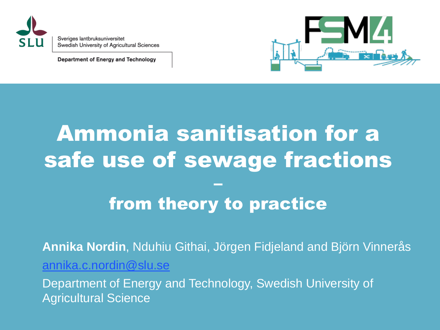

Sveriges lantbruksuniversitet Swedish University of Agricultural Sciences

Department of Energy and Technology



### Ammonia sanitisation for a safe use of sewage fractions –

#### from theory to practice

**Annika Nordin**, Nduhiu Githai, Jörgen Fidjeland and Björn Vinnerås [annika.c.nordin@slu.se](mailto:Annika.c.Nordin@slu.se)

Department of Energy and Technology, Swedish University of Agricultural Science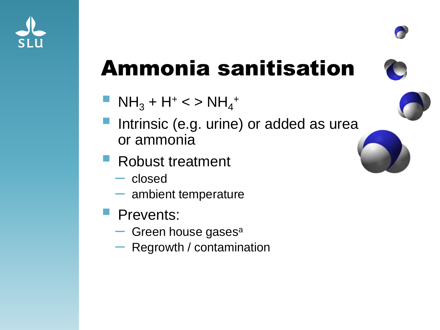



- $\blacksquare$  NH<sub>3</sub> + H<sup>+</sup> < > NH<sub>4</sub> +
- Intrinsic (e.g. urine) or added as urea or ammonia
- Robust treatment
	- closed
	- ambient temperature
- Prevents:
	- $-$  Green house gases<sup>a</sup>
	- Regrowth / contamination

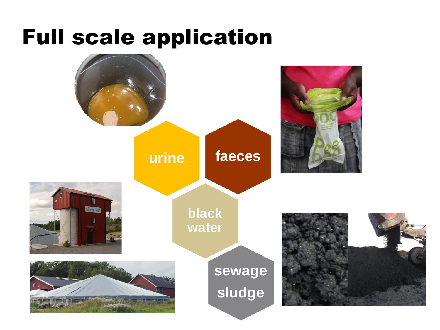#### Full scale application

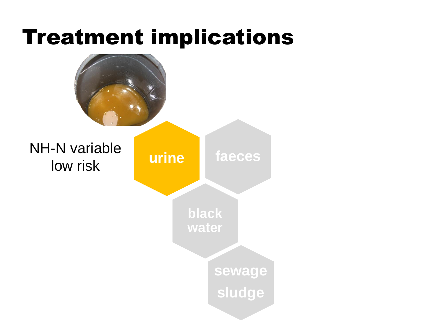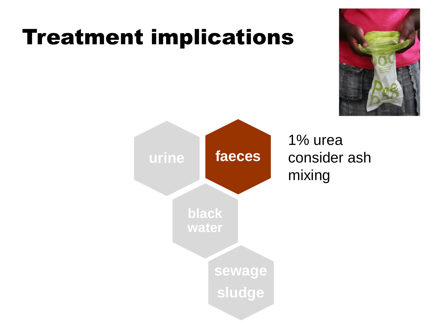

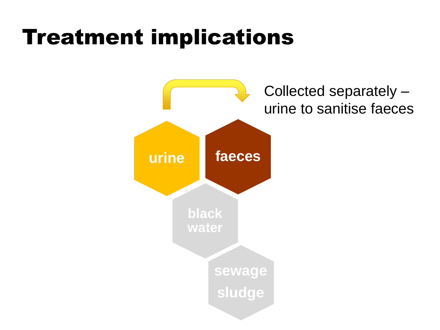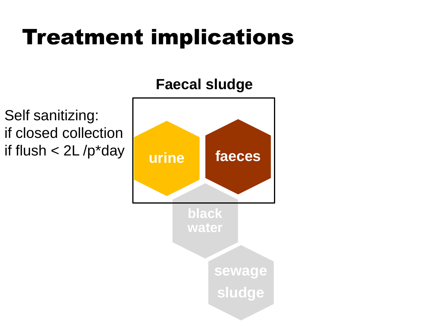#### **Faecal sludge**

Self sanitizing: if closed collection if flush < 2L /p\*day

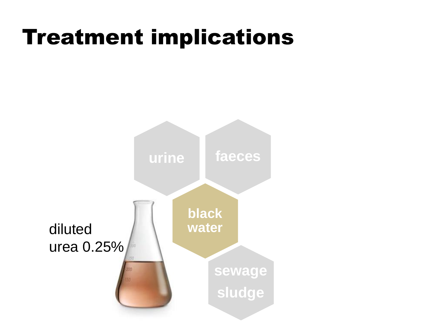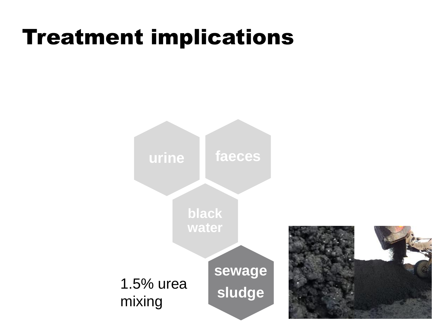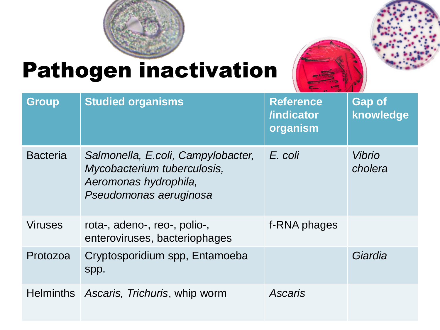

## Pathogen inactivation



| <b>Group</b>    | <b>Studied organisms</b>                                                                                             | <b>Reference</b><br>/indicator<br>organism | <b>Gap of</b><br>knowledge |
|-----------------|----------------------------------------------------------------------------------------------------------------------|--------------------------------------------|----------------------------|
| <b>Bacteria</b> | Salmonella, E.coli, Campylobacter,<br>Mycobacterium tuberculosis,<br>Aeromonas hydrophila,<br>Pseudomonas aeruginosa | E. coli                                    | <b>Vibrio</b><br>cholera   |
| <b>Viruses</b>  | rota-, adeno-, reo-, polio-,<br>enteroviruses, bacteriophages                                                        | f-RNA phages                               |                            |
| Protozoa        | Cryptosporidium spp, Entamoeba<br>spp.                                                                               |                                            | Giardia                    |
|                 | Helminths Ascaris, Trichuris, whip worm                                                                              | Ascaris                                    |                            |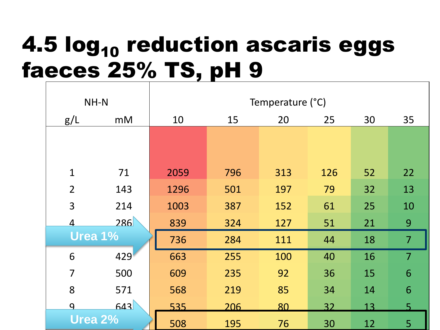# 4.5 log<sub>10</sub> reduction ascaris eggs faeces 25% TS, pH 9

| NH-N           |                | Temperature (°C) |     |     |     |    |                |  |
|----------------|----------------|------------------|-----|-----|-----|----|----------------|--|
| g/L            | m <sub>M</sub> | 10               | 15  | 20  | 25  | 30 | 35             |  |
|                |                |                  |     |     |     |    |                |  |
|                |                |                  |     |     |     |    |                |  |
| $\mathbf{1}$   | 71             | 2059             | 796 | 313 | 126 | 52 | 22             |  |
| $\overline{2}$ | 143            | 1296             | 501 | 197 | 79  | 32 | 13             |  |
| 3              | 214            | 1003             | 387 | 152 | 61  | 25 | 10             |  |
| 4              | 286            | 839              | 324 | 127 | 51  | 21 | 9              |  |
| Urea 1%        |                | 736              | 284 | 111 | 44  | 18 | $\overline{7}$ |  |
| 6              | 429            | 663              | 255 | 100 | 40  | 16 | $\overline{7}$ |  |
| $\overline{7}$ | 500            | 609              | 235 | 92  | 36  | 15 | 6              |  |
| 8              | 571            | 568              | 219 | 85  | 34  | 14 | 6              |  |
| $\mathbf{Q}$   | 643            | 535              | 206 | 80  | 32  | 13 | $\overline{5}$ |  |
| Urea 2%        |                | 508              | 195 | 76  | 30  | 12 | 5              |  |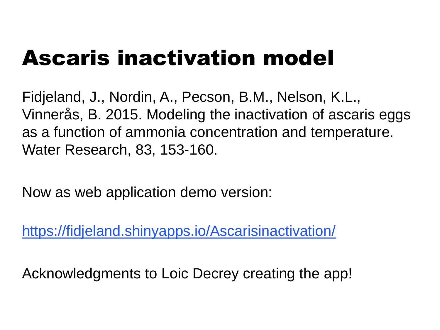# Ascaris inactivation model

Fidjeland, J., Nordin, A., Pecson, B.M., Nelson, K.L., Vinnerås, B. 2015. Modeling the inactivation of ascaris eggs as a function of ammonia concentration and temperature. Water Research, 83, 153-160.

Now as web application demo version:

<https://fidjeland.shinyapps.io/Ascarisinactivation/>

Acknowledgments to Loic Decrey creating the app!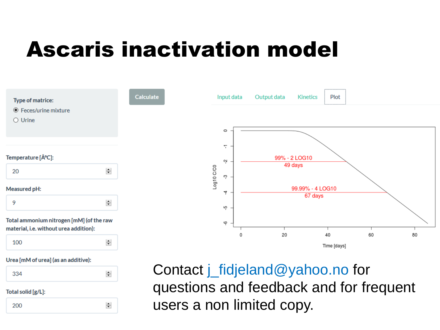## Ascaris inactivation model



Total solid [g/L]:

200

 $\left| \div \right|$ 

questions and feedback and for frequent users a non limited copy.